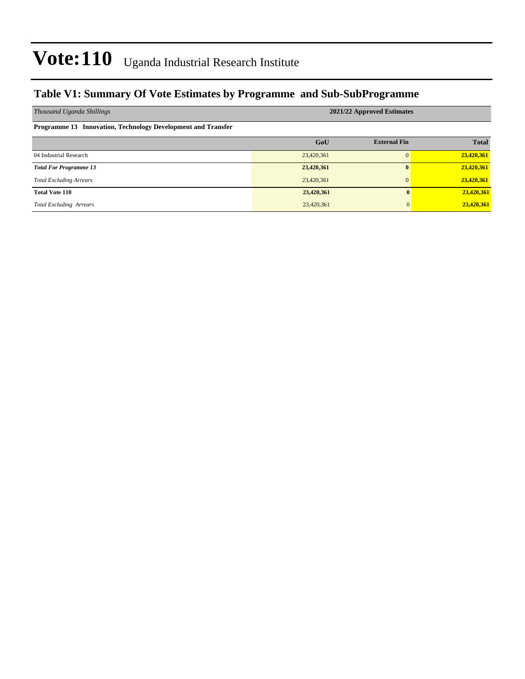#### **Table V1: Summary Of Vote Estimates by Programme and Sub-SubProgramme**

| Thousand Uganda Shillings                                    | 2021/22 Approved Estimates |                     |              |  |  |  |
|--------------------------------------------------------------|----------------------------|---------------------|--------------|--|--|--|
| Programme 13 Innovation, Technology Development and Transfer |                            |                     |              |  |  |  |
|                                                              | GoU                        | <b>External Fin</b> | <b>Total</b> |  |  |  |
| 04 Industrial Research                                       | 23,420,361                 |                     | 23,420,361   |  |  |  |
| <b>Total For Programme 13</b>                                | 23,420,361                 |                     | 23,420,361   |  |  |  |
| <b>Total Excluding Arrears</b>                               | 23,420,361                 |                     | 23,420,361   |  |  |  |
| <b>Total Vote 110</b>                                        | 23,420,361                 | $\mathbf{0}$        | 23,420,361   |  |  |  |
| <b>Total Excluding Arrears</b>                               | 23,420,361                 | $\Omega$            | 23,420,361   |  |  |  |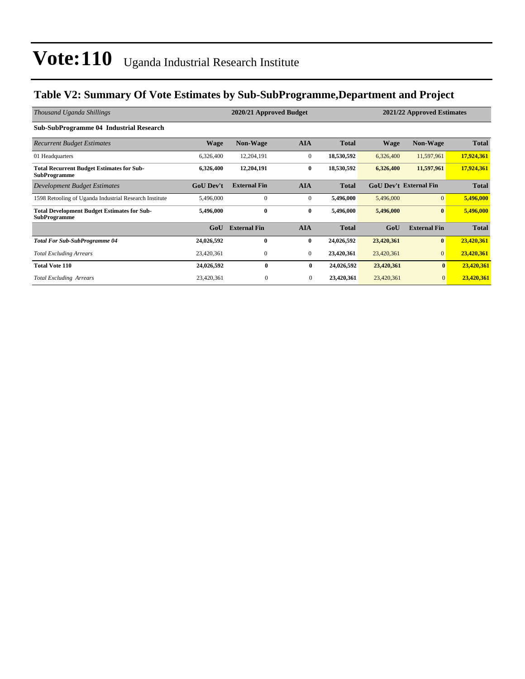### **Table V2: Summary Of Vote Estimates by Sub-SubProgramme,Department and Project**

| Thousand Uganda Shillings                                                 |                  | 2020/21 Approved Budget |                | 2021/22 Approved Estimates |             |                               |              |
|---------------------------------------------------------------------------|------------------|-------------------------|----------------|----------------------------|-------------|-------------------------------|--------------|
| <b>Sub-SubProgramme 04 Industrial Research</b>                            |                  |                         |                |                            |             |                               |              |
| <b>Recurrent Budget Estimates</b>                                         | <b>Wage</b>      | <b>Non-Wage</b>         | <b>AIA</b>     | <b>Total</b>               | <b>Wage</b> | <b>Non-Wage</b>               | <b>Total</b> |
| 01 Headquarters                                                           | 6,326,400        | 12,204,191              | $\mathbf{0}$   | 18,530,592                 | 6,326,400   | 11,597,961                    | 17,924,361   |
| <b>Total Recurrent Budget Estimates for Sub-</b><br><b>SubProgramme</b>   | 6,326,400        | 12,204,191              | $\bf{0}$       | 18,530,592                 | 6,326,400   | 11,597,961                    | 17,924,361   |
| Development Budget Estimates                                              | <b>GoU</b> Dev't | <b>External Fin</b>     | <b>AIA</b>     | <b>Total</b>               |             | <b>GoU Dev't External Fin</b> | <b>Total</b> |
| 1598 Retooling of Uganda Industrial Research Institute                    | 5,496,000        | $\mathbf{0}$            | $\mathbf{0}$   | 5,496,000                  | 5,496,000   | $\overline{0}$                | 5,496,000    |
| <b>Total Development Budget Estimates for Sub-</b><br><b>SubProgramme</b> | 5,496,000        | $\bf{0}$                | $\bf{0}$       | 5,496,000                  | 5,496,000   | $\bf{0}$                      | 5,496,000    |
|                                                                           | GoU              | <b>External Fin</b>     | <b>AIA</b>     | <b>Total</b>               | GoU         | <b>External Fin</b>           | <b>Total</b> |
| <b>Total For Sub-SubProgramme 04</b>                                      | 24,026,592       | $\mathbf{0}$            | $\bf{0}$       | 24,026,592                 | 23,420,361  | $\bf{0}$                      | 23,420,361   |
| <b>Total Excluding Arrears</b>                                            | 23,420,361       | $\mathbf{0}$            | $\mathbf{0}$   | 23,420,361                 | 23,420,361  | $\overline{0}$                | 23,420,361   |
| <b>Total Vote 110</b>                                                     | 24,026,592       | 0                       | $\bf{0}$       | 24,026,592                 | 23,420,361  | $\bf{0}$                      | 23,420,361   |
| <b>Total Excluding Arrears</b>                                            | 23,420,361       | $\boldsymbol{0}$        | $\overline{0}$ | 23,420,361                 | 23,420,361  | $\mathbf{0}$                  | 23,420,361   |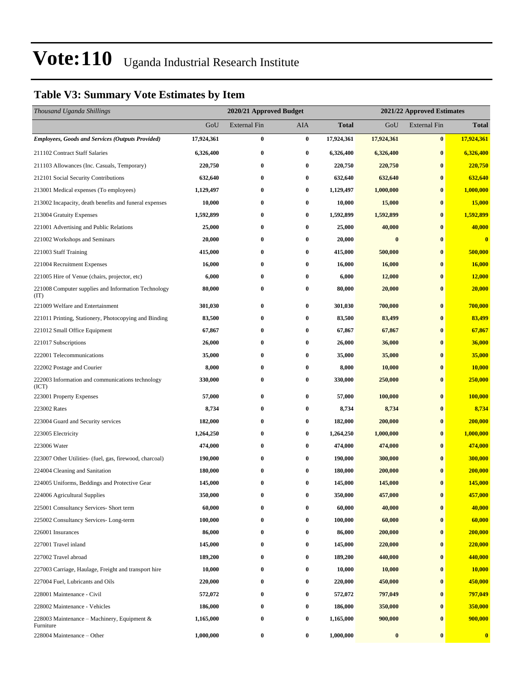### **Table V3: Summary Vote Estimates by Item**

| Thousand Uganda Shillings                                   |            | 2020/21 Approved Budget |                  |            | 2021/22 Approved Estimates |                     |               |
|-------------------------------------------------------------|------------|-------------------------|------------------|------------|----------------------------|---------------------|---------------|
|                                                             | GoU        | <b>External Fin</b>     | AIA              | Total      | GoU                        | <b>External Fin</b> | <b>Total</b>  |
| <b>Employees, Goods and Services (Outputs Provided)</b>     | 17,924,361 | $\bf{0}$                | $\boldsymbol{0}$ | 17,924,361 | 17,924,361                 | $\bf{0}$            | 17,924,361    |
| 211102 Contract Staff Salaries                              | 6,326,400  | $\bf{0}$                | $\bf{0}$         | 6,326,400  | 6,326,400                  | $\bf{0}$            | 6,326,400     |
| 211103 Allowances (Inc. Casuals, Temporary)                 | 220,750    | $\bf{0}$                | $\bf{0}$         | 220,750    | 220,750                    | $\bf{0}$            | 220,750       |
| 212101 Social Security Contributions                        | 632,640    | 0                       | $\bf{0}$         | 632,640    | 632,640                    | $\bf{0}$            | 632,640       |
| 213001 Medical expenses (To employees)                      | 1,129,497  | $\bf{0}$                | $\bf{0}$         | 1,129,497  | 1,000,000                  | $\bf{0}$            | 1,000,000     |
| 213002 Incapacity, death benefits and funeral expenses      | 10,000     | $\bf{0}$                | $\bf{0}$         | 10,000     | 15,000                     | $\bf{0}$            | <b>15,000</b> |
| 213004 Gratuity Expenses                                    | 1,592,899  | $\bf{0}$                | $\bf{0}$         | 1,592,899  | 1,592,899                  | $\bf{0}$            | 1,592,899     |
| 221001 Advertising and Public Relations                     | 25,000     | $\bf{0}$                | $\bf{0}$         | 25,000     | 40,000                     | $\bf{0}$            | 40,000        |
| 221002 Workshops and Seminars                               | 20,000     | $\bf{0}$                | $\bf{0}$         | 20,000     | $\bf{0}$                   | $\bf{0}$            | $\bf{0}$      |
| 221003 Staff Training                                       | 415,000    | $\bf{0}$                | $\bf{0}$         | 415,000    | 500,000                    | $\bf{0}$            | 500,000       |
| 221004 Recruitment Expenses                                 | 16,000     | $\bf{0}$                | $\bf{0}$         | 16,000     | 16,000                     | $\bf{0}$            | 16,000        |
| 221005 Hire of Venue (chairs, projector, etc)               | 6,000      | $\bf{0}$                | $\bf{0}$         | 6,000      | 12,000                     | $\bf{0}$            | 12,000        |
| 221008 Computer supplies and Information Technology<br>(TT) | 80,000     | $\bf{0}$                | $\bf{0}$         | 80,000     | 20,000                     | $\boldsymbol{0}$    | 20,000        |
| 221009 Welfare and Entertainment                            | 301,030    | $\bf{0}$                | $\bf{0}$         | 301,030    | 700,000                    | $\bf{0}$            | 700,000       |
| 221011 Printing, Stationery, Photocopying and Binding       | 83,500     | $\bf{0}$                | $\bf{0}$         | 83,500     | 83,499                     | $\bf{0}$            | 83,499        |
| 221012 Small Office Equipment                               | 67,867     | $\bf{0}$                | $\bf{0}$         | 67,867     | 67,867                     | $\bf{0}$            | 67,867        |
| 221017 Subscriptions                                        | 26,000     | $\bf{0}$                | $\bf{0}$         | 26,000     | 36,000                     | $\bf{0}$            | 36,000        |
| 222001 Telecommunications                                   | 35,000     | $\bf{0}$                | $\bf{0}$         | 35,000     | 35,000                     | $\bf{0}$            | 35,000        |
| 222002 Postage and Courier                                  | 8,000      | $\bf{0}$                | $\bf{0}$         | 8,000      | 10,000                     | $\bf{0}$            | 10,000        |
| 222003 Information and communications technology<br>(ICT)   | 330,000    | $\bf{0}$                | $\bf{0}$         | 330,000    | 250,000                    | $\bf{0}$            | 250,000       |
| 223001 Property Expenses                                    | 57,000     | $\bf{0}$                | $\bf{0}$         | 57,000     | 100,000                    | $\bf{0}$            | 100,000       |
| 223002 Rates                                                | 8,734      | $\bf{0}$                | $\bf{0}$         | 8,734      | 8,734                      | $\bf{0}$            | 8,734         |
| 223004 Guard and Security services                          | 182,000    | $\bf{0}$                | $\bf{0}$         | 182,000    | 200,000                    | $\bf{0}$            | 200,000       |
| 223005 Electricity                                          | 1,264,250  | $\bf{0}$                | $\bf{0}$         | 1,264,250  | 1,000,000                  | $\bf{0}$            | 1,000,000     |
| 223006 Water                                                | 474,000    | $\bf{0}$                | $\bf{0}$         | 474,000    | 474,000                    | $\bf{0}$            | 474,000       |
| 223007 Other Utilities- (fuel, gas, firewood, charcoal)     | 190,000    | $\bf{0}$                | $\bf{0}$         | 190,000    | 300,000                    | $\bf{0}$            | 300,000       |
| 224004 Cleaning and Sanitation                              | 180,000    | $\bf{0}$                | $\bf{0}$         | 180,000    | 200,000                    | $\bf{0}$            | 200,000       |
| 224005 Uniforms, Beddings and Protective Gear               | 145,000    | $\bf{0}$                | $\bf{0}$         | 145,000    | 145,000                    | $\bf{0}$            | 145,000       |
| 224006 Agricultural Supplies                                | 350,000    | $\bf{0}$                | $\bf{0}$         | 350,000    | 457,000                    | $\bf{0}$            | 457,000       |
| 225001 Consultancy Services- Short term                     | 60,000     | $\bf{0}$                | $\bf{0}$         | 60,000     | 40,000                     | $\bf{0}$            | 40,000        |
| 225002 Consultancy Services-Long-term                       | 100,000    | $\bf{0}$                | $\bf{0}$         | 100,000    | 60,000                     | $\bf{0}$            | 60,000        |
| 226001 Insurances                                           | 86,000     | $\bf{0}$                | $\bf{0}$         | 86,000     | 200,000                    | $\bf{0}$            | 200,000       |
| 227001 Travel inland                                        | 145,000    | $\bf{0}$                | $\bf{0}$         | 145,000    | 220,000                    | $\bf{0}$            | 220,000       |
| 227002 Travel abroad                                        | 189,200    | $\bf{0}$                | $\bf{0}$         | 189,200    | 440,000                    | $\bf{0}$            | 440,000       |
| 227003 Carriage, Haulage, Freight and transport hire        | 10,000     | $\bf{0}$                | $\bf{0}$         | 10,000     | 10,000                     | $\bf{0}$            | 10,000        |
| 227004 Fuel, Lubricants and Oils                            | 220,000    | $\bf{0}$                | $\bf{0}$         | 220,000    | 450,000                    | $\bf{0}$            | 450,000       |
| 228001 Maintenance - Civil                                  | 572,072    | $\bf{0}$                | $\bf{0}$         | 572,072    | 797,049                    | $\bf{0}$            | 797,049       |
| 228002 Maintenance - Vehicles                               | 186,000    | $\bf{0}$                | $\bf{0}$         | 186,000    | 350,000                    | $\bf{0}$            | 350,000       |
| 228003 Maintenance - Machinery, Equipment &<br>Furniture    | 1,165,000  | $\bf{0}$                | $\bf{0}$         | 1,165,000  | 900,000                    | $\bf{0}$            | 900,000       |
| 228004 Maintenance - Other                                  | 1,000,000  | $\boldsymbol{0}$        | $\bf{0}$         | 1,000,000  | $\pmb{0}$                  | $\bf{0}$            | $\bf{0}$      |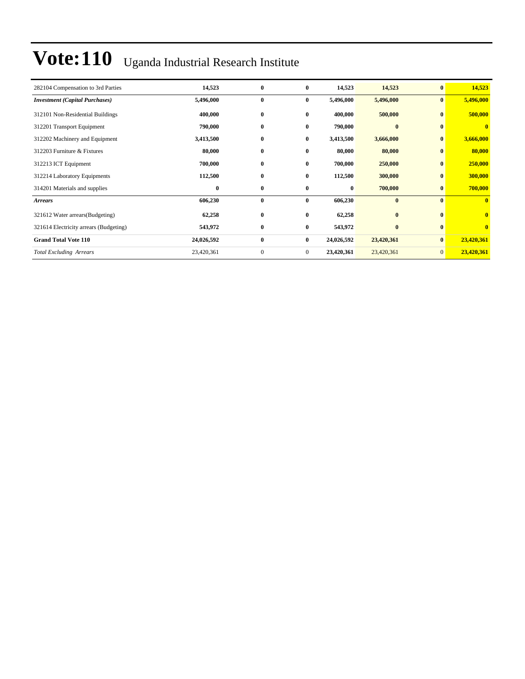| 282104 Compensation to 3rd Parties     | 14,523     | $\bf{0}$     | $\bf{0}$       | 14,523     | 14,523     | $\bf{0}$       | 14,523                  |
|----------------------------------------|------------|--------------|----------------|------------|------------|----------------|-------------------------|
| <b>Investment</b> (Capital Purchases)  | 5,496,000  | $\bf{0}$     | $\bf{0}$       | 5,496,000  | 5,496,000  | $\bf{0}$       | 5,496,000               |
| 312101 Non-Residential Buildings       | 400,000    | $\bf{0}$     | $\bf{0}$       | 400,000    | 500,000    | $\mathbf{0}$   | 500,000                 |
| 312201 Transport Equipment             | 790,000    | $\bf{0}$     | $\bf{0}$       | 790,000    | $\bf{0}$   | $\bf{0}$       | $\mathbf{0}$            |
| 312202 Machinery and Equipment         | 3,413,500  | $\bf{0}$     | $\bf{0}$       | 3,413,500  | 3,666,000  | $\mathbf{0}$   | 3,666,000               |
| 312203 Furniture & Fixtures            | 80,000     | $\bf{0}$     | $\bf{0}$       | 80,000     | 80,000     | $\bf{0}$       | 80,000                  |
| 312213 ICT Equipment                   | 700,000    | $\bf{0}$     | $\bf{0}$       | 700,000    | 250,000    | $\bf{0}$       | 250,000                 |
| 312214 Laboratory Equipments           | 112,500    | $\bf{0}$     | $\bf{0}$       | 112,500    | 300,000    | $\mathbf{0}$   | 300,000                 |
| 314201 Materials and supplies          | $\bf{0}$   | $\bf{0}$     | $\bf{0}$       | $\bf{0}$   | 700,000    | $\bf{0}$       | 700,000                 |
| <b>Arrears</b>                         | 606,230    | $\bf{0}$     | $\bf{0}$       | 606,230    | $\bf{0}$   | $\mathbf{0}$   | $\overline{\mathbf{0}}$ |
| 321612 Water arrears (Budgeting)       | 62,258     | $\bf{0}$     | $\bf{0}$       | 62,258     | $\bf{0}$   | $\mathbf{0}$   | $\overline{\mathbf{0}}$ |
| 321614 Electricity arrears (Budgeting) | 543,972    | $\bf{0}$     | $\bf{0}$       | 543,972    | $\bf{0}$   | $\bf{0}$       | $\bf{0}$                |
| <b>Grand Total Vote 110</b>            | 24,026,592 | $\bf{0}$     | $\bf{0}$       | 24,026,592 | 23,420,361 | $\mathbf{0}$   | 23,420,361              |
| <b>Total Excluding Arrears</b>         | 23,420,361 | $\mathbf{0}$ | $\overline{0}$ | 23,420,361 | 23,420,361 | $\overline{0}$ | 23,420,361              |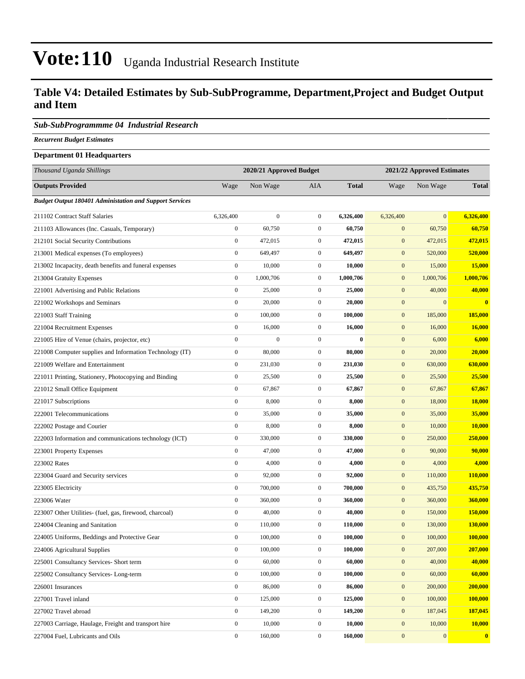#### **Table V4: Detailed Estimates by Sub-SubProgramme, Department,Project and Budget Output and Item**

#### *Sub-SubProgrammme 04 Industrial Research*

*Recurrent Budget Estimates*

#### **Department 01 Headquarters**

| Thousand Uganda Shillings                                      |                  | 2020/21 Approved Budget |                  |              | 2021/22 Approved Estimates |                |                |
|----------------------------------------------------------------|------------------|-------------------------|------------------|--------------|----------------------------|----------------|----------------|
| <b>Outputs Provided</b>                                        | Wage             | Non Wage                | AIA              | <b>Total</b> | Wage                       | Non Wage       | <b>Total</b>   |
| <b>Budget Output 180401 Administation and Support Services</b> |                  |                         |                  |              |                            |                |                |
| 211102 Contract Staff Salaries                                 | 6,326,400        | $\boldsymbol{0}$        | $\mathbf{0}$     | 6,326,400    | 6,326,400                  | $\mathbf{0}$   | 6,326,400      |
| 211103 Allowances (Inc. Casuals, Temporary)                    | $\boldsymbol{0}$ | 60,750                  | $\boldsymbol{0}$ | 60,750       | $\boldsymbol{0}$           | 60,750         | 60,750         |
| 212101 Social Security Contributions                           | $\boldsymbol{0}$ | 472,015                 | $\mathbf{0}$     | 472,015      | $\boldsymbol{0}$           | 472,015        | 472,015        |
| 213001 Medical expenses (To employees)                         | $\boldsymbol{0}$ | 649,497                 | $\boldsymbol{0}$ | 649,497      | $\mathbf{0}$               | 520,000        | 520,000        |
| 213002 Incapacity, death benefits and funeral expenses         | $\mathbf{0}$     | 10,000                  | $\mathbf{0}$     | 10,000       | $\boldsymbol{0}$           | 15,000         | 15,000         |
| 213004 Gratuity Expenses                                       | $\boldsymbol{0}$ | 1,000,706               | $\mathbf{0}$     | 1,000,706    | $\boldsymbol{0}$           | 1,000,706      | 1,000,706      |
| 221001 Advertising and Public Relations                        | $\boldsymbol{0}$ | 25,000                  | $\mathbf{0}$     | 25,000       | $\boldsymbol{0}$           | 40,000         | 40,000         |
| 221002 Workshops and Seminars                                  | $\boldsymbol{0}$ | 20,000                  | $\mathbf{0}$     | 20,000       | $\boldsymbol{0}$           | $\overline{0}$ | $\bf{0}$       |
| 221003 Staff Training                                          | $\boldsymbol{0}$ | 100,000                 | $\boldsymbol{0}$ | 100,000      | $\mathbf{0}$               | 185,000        | 185,000        |
| 221004 Recruitment Expenses                                    | $\mathbf{0}$     | 16,000                  | $\boldsymbol{0}$ | 16,000       | $\boldsymbol{0}$           | 16,000         | 16,000         |
| 221005 Hire of Venue (chairs, projector, etc)                  | $\boldsymbol{0}$ | $\boldsymbol{0}$        | $\boldsymbol{0}$ | $\bf{0}$     | $\boldsymbol{0}$           | 6,000          | 6,000          |
| 221008 Computer supplies and Information Technology (IT)       | $\boldsymbol{0}$ | 80,000                  | $\boldsymbol{0}$ | 80,000       | $\boldsymbol{0}$           | 20,000         | 20,000         |
| 221009 Welfare and Entertainment                               | $\boldsymbol{0}$ | 231,030                 | $\mathbf{0}$     | 231,030      | $\boldsymbol{0}$           | 630,000        | 630,000        |
| 221011 Printing, Stationery, Photocopying and Binding          | $\boldsymbol{0}$ | 25,500                  | $\mathbf{0}$     | 25,500       | $\mathbf{0}$               | 25,500         | 25,500         |
| 221012 Small Office Equipment                                  | $\mathbf{0}$     | 67,867                  | $\boldsymbol{0}$ | 67,867       | $\boldsymbol{0}$           | 67,867         | 67,867         |
| 221017 Subscriptions                                           | $\boldsymbol{0}$ | 8,000                   | $\boldsymbol{0}$ | 8,000        | $\boldsymbol{0}$           | 18,000         | 18,000         |
| 222001 Telecommunications                                      | $\boldsymbol{0}$ | 35,000                  | $\boldsymbol{0}$ | 35,000       | $\boldsymbol{0}$           | 35,000         | 35,000         |
| 222002 Postage and Courier                                     | $\boldsymbol{0}$ | 8,000                   | $\boldsymbol{0}$ | 8,000        | $\boldsymbol{0}$           | 10,000         | 10,000         |
| 222003 Information and communications technology (ICT)         | $\boldsymbol{0}$ | 330,000                 | $\boldsymbol{0}$ | 330,000      | $\mathbf{0}$               | 250,000        | 250,000        |
| 223001 Property Expenses                                       | $\boldsymbol{0}$ | 47,000                  | $\mathbf{0}$     | 47,000       | $\boldsymbol{0}$           | 90,000         | 90,000         |
| 223002 Rates                                                   | $\boldsymbol{0}$ | 4,000                   | $\mathbf{0}$     | 4,000        | $\boldsymbol{0}$           | 4,000          | 4,000          |
| 223004 Guard and Security services                             | $\boldsymbol{0}$ | 92,000                  | $\boldsymbol{0}$ | 92,000       | $\boldsymbol{0}$           | 110,000        | <b>110,000</b> |
| 223005 Electricity                                             | $\boldsymbol{0}$ | 700,000                 | $\mathbf{0}$     | 700,000      | $\boldsymbol{0}$           | 435,750        | 435,750        |
| 223006 Water                                                   | $\boldsymbol{0}$ | 360,000                 | $\boldsymbol{0}$ | 360,000      | $\mathbf{0}$               | 360,000        | 360,000        |
| 223007 Other Utilities- (fuel, gas, firewood, charcoal)        | $\mathbf{0}$     | 40,000                  | $\mathbf{0}$     | 40,000       | $\boldsymbol{0}$           | 150,000        | 150,000        |
| 224004 Cleaning and Sanitation                                 | $\boldsymbol{0}$ | 110,000                 | $\mathbf{0}$     | 110,000      | $\boldsymbol{0}$           | 130,000        | 130,000        |
| 224005 Uniforms, Beddings and Protective Gear                  | $\boldsymbol{0}$ | 100,000                 | $\mathbf{0}$     | 100,000      | $\mathbf{0}$               | 100,000        | <b>100,000</b> |
| 224006 Agricultural Supplies                                   | $\boldsymbol{0}$ | 100,000                 | $\boldsymbol{0}$ | 100,000      | $\boldsymbol{0}$           | 207,000        | 207,000        |
| 225001 Consultancy Services- Short term                        | $\boldsymbol{0}$ | 60,000                  | $\boldsymbol{0}$ | 60,000       | $\boldsymbol{0}$           | 40,000         | 40,000         |
| 225002 Consultancy Services-Long-term                          | $\boldsymbol{0}$ | 100,000                 | $\boldsymbol{0}$ | 100,000      | $\boldsymbol{0}$           | 60,000         | 60,000         |
| 226001 Insurances                                              | $\boldsymbol{0}$ | 86,000                  | $\boldsymbol{0}$ | 86,000       | $\boldsymbol{0}$           | 200,000        | 200,000        |
| 227001 Travel inland                                           | $\mathbf{0}$     | 125,000                 | $\boldsymbol{0}$ | 125,000      | $\boldsymbol{0}$           | 100,000        | 100,000        |
| 227002 Travel abroad                                           | $\boldsymbol{0}$ | 149,200                 | $\boldsymbol{0}$ | 149,200      | $\boldsymbol{0}$           | 187,045        | 187,045        |
| 227003 Carriage, Haulage, Freight and transport hire           | $\boldsymbol{0}$ | 10,000                  | $\boldsymbol{0}$ | 10,000       | $\boldsymbol{0}$           | 10,000         | 10,000         |
| 227004 Fuel, Lubricants and Oils                               | $\boldsymbol{0}$ | 160,000                 | $\mathbf{0}$     | 160,000      | $\mathbf{0}$               | 0              | $\mathbf{0}$   |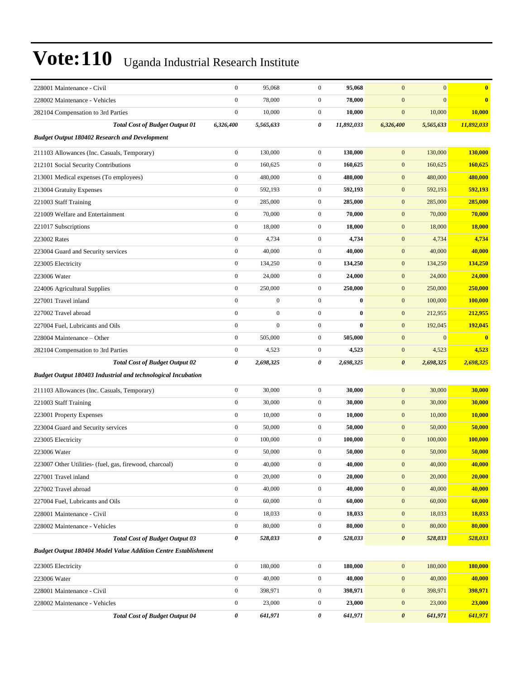| 228001 Maintenance - Civil                                            | $\boldsymbol{0}$      | 95,068           | $\boldsymbol{0}$ | 95,068     | $\mathbf{0}$          | $\mathbf{0}$   | $\bf{0}$   |
|-----------------------------------------------------------------------|-----------------------|------------------|------------------|------------|-----------------------|----------------|------------|
| 228002 Maintenance - Vehicles                                         | $\mathbf{0}$          | 78,000           | $\overline{0}$   | 78,000     | $\mathbf{0}$          | $\overline{0}$ | $\bf{0}$   |
| 282104 Compensation to 3rd Parties                                    | $\boldsymbol{0}$      | 10,000           | $\mathbf{0}$     | 10,000     | $\boldsymbol{0}$      | 10,000         | 10,000     |
| <b>Total Cost of Budget Output 01</b>                                 | 6,326,400             | 5,565,633        | 0                | 11,892,033 | 6,326,400             | 5,565,633      | 11,892,033 |
| <b>Budget Output 180402 Research and Development</b>                  |                       |                  |                  |            |                       |                |            |
| 211103 Allowances (Inc. Casuals, Temporary)                           | $\boldsymbol{0}$      | 130,000          | $\overline{0}$   | 130,000    | $\mathbf{0}$          | 130,000        | 130,000    |
| 212101 Social Security Contributions                                  | $\boldsymbol{0}$      | 160,625          | $\overline{0}$   | 160,625    | $\mathbf{0}$          | 160,625        | 160,625    |
| 213001 Medical expenses (To employees)                                | $\boldsymbol{0}$      | 480,000          | $\mathbf{0}$     | 480,000    | $\mathbf{0}$          | 480,000        | 480,000    |
| 213004 Gratuity Expenses                                              | $\boldsymbol{0}$      | 592,193          | $\mathbf{0}$     | 592,193    | $\mathbf{0}$          | 592,193        | 592,193    |
| 221003 Staff Training                                                 | $\boldsymbol{0}$      | 285,000          | $\mathbf{0}$     | 285,000    | $\mathbf{0}$          | 285,000        | 285,000    |
| 221009 Welfare and Entertainment                                      | $\boldsymbol{0}$      | 70,000           | $\overline{0}$   | 70,000     | $\mathbf{0}$          | 70,000         | 70,000     |
| 221017 Subscriptions                                                  | $\boldsymbol{0}$      | 18,000           | $\overline{0}$   | 18,000     | $\mathbf{0}$          | 18,000         | 18,000     |
| 223002 Rates                                                          | $\boldsymbol{0}$      | 4,734            | $\overline{0}$   | 4,734      | $\mathbf{0}$          | 4,734          | 4,734      |
| 223004 Guard and Security services                                    | $\boldsymbol{0}$      | 40,000           | $\mathbf{0}$     | 40,000     | $\mathbf{0}$          | 40,000         | 40,000     |
| 223005 Electricity                                                    | $\boldsymbol{0}$      | 134,250          | $\mathbf{0}$     | 134,250    | $\mathbf{0}$          | 134,250        | 134,250    |
| 223006 Water                                                          | $\boldsymbol{0}$      | 24,000           | $\mathbf{0}$     | 24,000     | $\mathbf{0}$          | 24,000         | 24,000     |
| 224006 Agricultural Supplies                                          | $\boldsymbol{0}$      | 250,000          | $\overline{0}$   | 250,000    | $\mathbf{0}$          | 250,000        | 250,000    |
| 227001 Travel inland                                                  | $\mathbf{0}$          | $\boldsymbol{0}$ | $\overline{0}$   | $\bf{0}$   | $\mathbf{0}$          | 100,000        | 100,000    |
| 227002 Travel abroad                                                  | $\boldsymbol{0}$      | $\boldsymbol{0}$ | $\overline{0}$   | $\bf{0}$   | $\mathbf{0}$          | 212,955        | 212,955    |
| 227004 Fuel, Lubricants and Oils                                      | $\mathbf{0}$          | $\mathbf{0}$     | $\overline{0}$   | $\bf{0}$   | $\mathbf{0}$          | 192,045        | 192,045    |
| 228004 Maintenance – Other                                            | $\boldsymbol{0}$      | 505,000          | $\mathbf{0}$     | 505,000    | $\mathbf{0}$          | $\mathbf{0}$   | $\bf{0}$   |
| 282104 Compensation to 3rd Parties                                    | $\boldsymbol{0}$      | 4,523            | $\overline{0}$   | 4,523      | $\mathbf{0}$          | 4,523          | 4,523      |
| <b>Total Cost of Budget Output 02</b>                                 | $\boldsymbol{\theta}$ | 2,698,325        | 0                | 2,698,325  | $\boldsymbol{\theta}$ | 2,698,325      | 2,698,325  |
| <b>Budget Output 180403 Industrial and technological Incubation</b>   |                       |                  |                  |            |                       |                |            |
| 211103 Allowances (Inc. Casuals, Temporary)                           | $\boldsymbol{0}$      | 30,000           | $\overline{0}$   | 30,000     | $\mathbf{0}$          | 30,000         | 30,000     |
| 221003 Staff Training                                                 | $\boldsymbol{0}$      | 30,000           | $\overline{0}$   | 30,000     | $\boldsymbol{0}$      | 30,000         | 30,000     |
| 223001 Property Expenses                                              | $\boldsymbol{0}$      | 10,000           | $\mathbf{0}$     | 10,000     | $\mathbf{0}$          | 10,000         | 10,000     |
| 223004 Guard and Security services                                    | $\boldsymbol{0}$      | 50,000           | $\overline{0}$   | 50,000     | $\mathbf{0}$          | 50,000         | 50,000     |
| 223005 Electricity                                                    | $\boldsymbol{0}$      | 100,000          | $\overline{0}$   | 100,000    | $\mathbf{0}$          | 100,000        | 100,000    |
| 223006 Water                                                          | $\boldsymbol{0}$      | 50,000           | $\mathbf{0}$     | 50,000     | $\mathbf{0}$          | 50,000         | 50,000     |
| 223007 Other Utilities- (fuel, gas, firewood, charcoal)               | $\boldsymbol{0}$      | 40,000           | $\overline{0}$   | 40,000     | $\mathbf{0}$          | 40,000         | 40,000     |
| 227001 Travel inland                                                  | $\boldsymbol{0}$      | 20,000           | $\boldsymbol{0}$ | 20,000     | $\mathbf{0}$          | 20,000         | 20,000     |
| 227002 Travel abroad                                                  | $\boldsymbol{0}$      | 40,000           | $\boldsymbol{0}$ | 40,000     | $\mathbf{0}$          | 40,000         | 40,000     |
| 227004 Fuel, Lubricants and Oils                                      | $\boldsymbol{0}$      | 60,000           | $\boldsymbol{0}$ | 60,000     | $\mathbf{0}$          | 60,000         | 60,000     |
| 228001 Maintenance - Civil                                            | $\boldsymbol{0}$      | 18,033           | $\boldsymbol{0}$ | 18,033     | $\mathbf{0}$          | 18,033         | 18,033     |
| 228002 Maintenance - Vehicles                                         | $\boldsymbol{0}$      | 80,000           | $\boldsymbol{0}$ | 80,000     | $\boldsymbol{0}$      | 80,000         | 80,000     |
| <b>Total Cost of Budget Output 03</b>                                 | $\pmb{\theta}$        | 528,033          | 0                | 528,033    | $\pmb{\theta}$        | 528,033        | 528,033    |
| <b>Budget Output 180404 Model Value Addition Centre Establishment</b> |                       |                  |                  |            |                       |                |            |
| 223005 Electricity                                                    | $\boldsymbol{0}$      | 180,000          | $\boldsymbol{0}$ | 180,000    | $\mathbf{0}$          | 180,000        | 180,000    |
| 223006 Water                                                          | $\boldsymbol{0}$      | 40,000           | $\boldsymbol{0}$ | 40,000     | $\boldsymbol{0}$      | 40,000         | 40,000     |
| 228001 Maintenance - Civil                                            | $\boldsymbol{0}$      | 398,971          | $\boldsymbol{0}$ | 398,971    | $\mathbf{0}$          | 398,971        | 398,971    |
| 228002 Maintenance - Vehicles                                         | $\boldsymbol{0}$      | 23,000           | $\boldsymbol{0}$ | 23,000     | $\boldsymbol{0}$      | 23,000         | 23,000     |
| <b>Total Cost of Budget Output 04</b>                                 | $\pmb{\theta}$        | 641,971          | 0                | 641,971    | $\pmb{\theta}$        | 641,971        | 641,971    |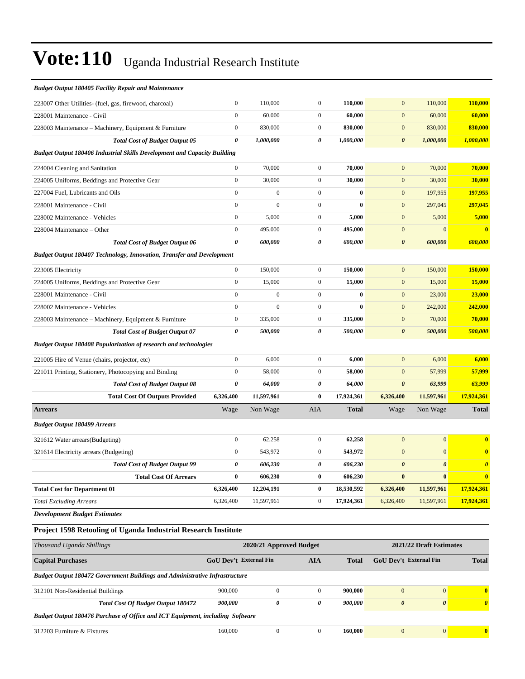| <b>Budget Output 180405 Facility Repair and Maintenance</b>                     |                  |                |                  |              |                       |                       |                         |
|---------------------------------------------------------------------------------|------------------|----------------|------------------|--------------|-----------------------|-----------------------|-------------------------|
| 223007 Other Utilities- (fuel, gas, firewood, charcoal)                         | $\boldsymbol{0}$ | 110,000        | $\mathbf{0}$     | 110,000      | $\boldsymbol{0}$      | 110,000               | 110,000                 |
| 228001 Maintenance - Civil                                                      | $\mathbf{0}$     | 60,000         | $\mathbf{0}$     | 60,000       | $\mathbf{0}$          | 60,000                | 60,000                  |
| 228003 Maintenance - Machinery, Equipment & Furniture                           | $\boldsymbol{0}$ | 830,000        | $\overline{0}$   | 830,000      | $\mathbf{0}$          | 830,000               | 830,000                 |
| <b>Total Cost of Budget Output 05</b>                                           | 0                | 1,000,000      | 0                | 1,000,000    | $\boldsymbol{\theta}$ | 1,000,000             | 1,000,000               |
| <b>Budget Output 180406 Industrial Skills Development and Capacity Building</b> |                  |                |                  |              |                       |                       |                         |
| 224004 Cleaning and Sanitation                                                  | $\boldsymbol{0}$ | 70,000         | $\mathbf{0}$     | 70,000       | $\mathbf{0}$          | 70,000                | 70,000                  |
| 224005 Uniforms, Beddings and Protective Gear                                   | $\boldsymbol{0}$ | 30,000         | $\overline{0}$   | 30,000       | $\mathbf{0}$          | 30,000                | 30,000                  |
| 227004 Fuel. Lubricants and Oils                                                | $\mathbf{0}$     | $\mathbf{0}$   | $\mathbf{0}$     | $\bf{0}$     | $\mathbf{0}$          | 197,955               | 197,955                 |
| 228001 Maintenance - Civil                                                      | $\overline{0}$   | $\overline{0}$ | $\boldsymbol{0}$ | $\bf{0}$     | $\boldsymbol{0}$      | 297,045               | 297,045                 |
| 228002 Maintenance - Vehicles                                                   | $\boldsymbol{0}$ | 5,000          | $\boldsymbol{0}$ | 5,000        | $\boldsymbol{0}$      | 5,000                 | 5,000                   |
| 228004 Maintenance – Other                                                      | $\mathbf{0}$     | 495,000        | $\mathbf{0}$     | 495,000      | $\mathbf{0}$          | $\mathbf{0}$          | $\overline{\mathbf{0}}$ |
| <b>Total Cost of Budget Output 06</b>                                           | $\theta$         | 600,000        | 0                | 600,000      | $\boldsymbol{\theta}$ | 600,000               | 600,000                 |
| Budget Output 180407 Technology, Innovation, Transfer and Development           |                  |                |                  |              |                       |                       |                         |
| 223005 Electricity                                                              | $\boldsymbol{0}$ | 150,000        | $\mathbf{0}$     | 150,000      | $\mathbf{0}$          | 150,000               | 150,000                 |
| 224005 Uniforms, Beddings and Protective Gear                                   | $\boldsymbol{0}$ | 15,000         | $\boldsymbol{0}$ | 15,000       | $\mathbf{0}$          | 15,000                | 15,000                  |
| 228001 Maintenance - Civil                                                      | $\mathbf{0}$     | $\mathbf{0}$   | $\boldsymbol{0}$ | $\bf{0}$     | $\boldsymbol{0}$      | 23,000                | 23,000                  |
| 228002 Maintenance - Vehicles                                                   | $\mathbf{0}$     | $\overline{0}$ | $\mathbf{0}$     | $\bf{0}$     | $\mathbf{0}$          | 242,000               | 242,000                 |
| 228003 Maintenance – Machinery, Equipment & Furniture                           | $\boldsymbol{0}$ | 335,000        | $\boldsymbol{0}$ | 335,000      | $\mathbf{0}$          | 70,000                | 70,000                  |
| <b>Total Cost of Budget Output 07</b>                                           | $\pmb{\theta}$   | 500,000        | $\theta$         | 500,000      | $\boldsymbol{\theta}$ | 500,000               | 500,000                 |
| Budget Output 180408 Popularization of research and technologies                |                  |                |                  |              |                       |                       |                         |
| 221005 Hire of Venue (chairs, projector, etc)                                   | $\boldsymbol{0}$ | 6,000          | $\mathbf{0}$     | 6,000        | $\mathbf{0}$          | 6,000                 | 6,000                   |
| 221011 Printing, Stationery, Photocopying and Binding                           | $\mathbf{0}$     | 58,000         | $\mathbf{0}$     | 58,000       | $\boldsymbol{0}$      | 57,999                | 57,999                  |
| <b>Total Cost of Budget Output 08</b>                                           | 0                | 64,000         | 0                | 64,000       | $\boldsymbol{\theta}$ | 63,999                | 63,999                  |
| <b>Total Cost Of Outputs Provided</b>                                           | 6,326,400        | 11,597,961     | $\bf{0}$         | 17,924,361   | 6,326,400             | 11,597,961            | 17,924,361              |
| <b>Arrears</b>                                                                  | Wage             | Non Wage       | AIA              | <b>Total</b> | Wage                  | Non Wage              | <b>Total</b>            |
| <b>Budget Output 180499 Arrears</b>                                             |                  |                |                  |              |                       |                       |                         |
| 321612 Water arrears(Budgeting)                                                 | $\boldsymbol{0}$ | 62,258         | $\boldsymbol{0}$ | 62,258       | $\mathbf{0}$          | $\mathbf{0}$          | $\bf{0}$                |
| 321614 Electricity arrears (Budgeting)                                          | $\mathbf{0}$     | 543,972        | $\overline{0}$   | 543,972      | $\mathbf{0}$          | $\overline{0}$        | $\bf{0}$                |
| <b>Total Cost of Budget Output 99</b>                                           | 0                | 606,230        | 0                | 606,230      | $\boldsymbol{\theta}$ | $\boldsymbol{\theta}$ | $\boldsymbol{\theta}$   |
| <b>Total Cost Of Arrears</b>                                                    | $\bf{0}$         | 606,230        | $\bf{0}$         | 606,230      | $\bf{0}$              | $\bf{0}$              | $\bf{0}$                |
| <b>Total Cost for Department 01</b>                                             | 6,326,400        | 12,204,191     | $\bf{0}$         | 18,530,592   | 6,326,400             | 11,597,961            | 17,924,361              |
| <b>Total Excluding Arrears</b>                                                  | 6,326,400        | 11,597,961     | $\mathbf{0}$     | 17,924,361   | 6,326,400             | 11,597,961            | 17,924,361              |
|                                                                                 |                  |                |                  |              |                       |                       |                         |

*Development Budget Estimates*

#### **Project 1598 Retooling of Uganda Industrial Research Institute**

| Thousand Uganda Shillings                                                          | 2021/22 Draft Estimates<br>2020/21 Approved Budget |              |            |              |                               |                       |                                  |  |  |
|------------------------------------------------------------------------------------|----------------------------------------------------|--------------|------------|--------------|-------------------------------|-----------------------|----------------------------------|--|--|
| <b>Capital Purchases</b>                                                           | <b>GoU Dev't External Fin</b>                      |              | <b>AIA</b> | <b>Total</b> | <b>GoU</b> Dev't External Fin |                       | <b>Total</b>                     |  |  |
| <b>Budget Output 180472 Government Buildings and Administrative Infrastructure</b> |                                                    |              |            |              |                               |                       |                                  |  |  |
| 312101 Non-Residential Buildings                                                   | 900,000                                            | $\mathbf{0}$ |            | 900,000      | $\Omega$                      | $\overline{0}$        | $\mathbf{0}$                     |  |  |
| <b>Total Cost Of Budget Output 180472</b>                                          | 900,000                                            | 0            | 0          | 900.000      | $\theta$                      | $\boldsymbol{\theta}$ | $\overline{\boldsymbol{\theta}}$ |  |  |
| Budget Output 180476 Purchase of Office and ICT Equipment, including Software      |                                                    |              |            |              |                               |                       |                                  |  |  |
| 312203 Furniture & Fixtures                                                        | 160,000                                            | $\Omega$     |            | 160,000      | $\Omega$                      | $\Omega$              | $\mathbf{0}$                     |  |  |